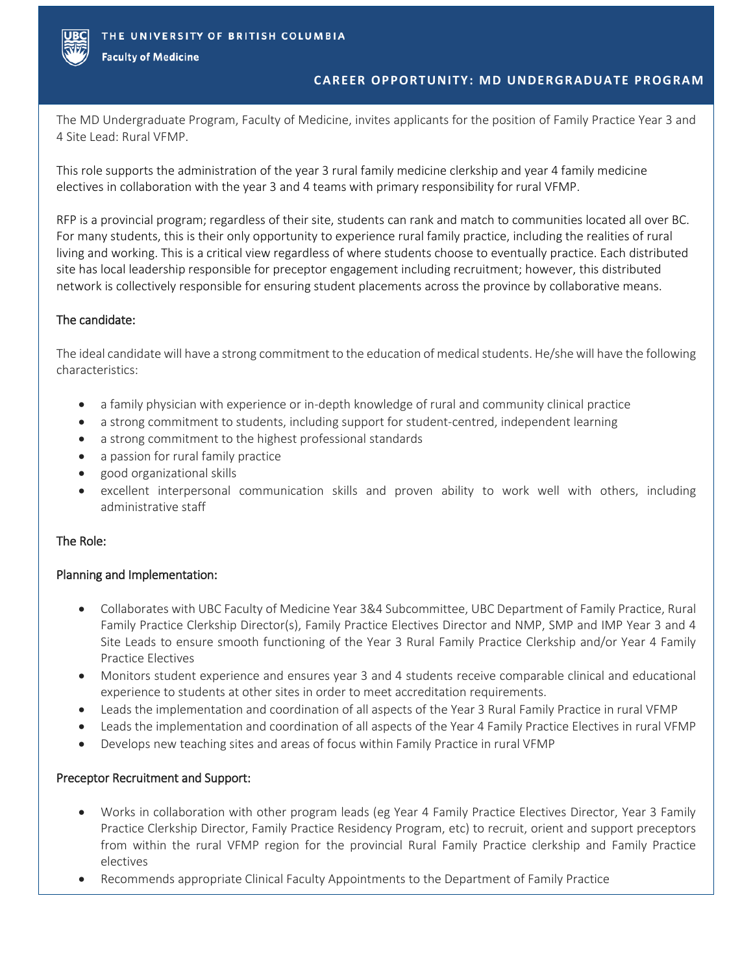

**Faculty of Medicine** 

# **CAREER OPPORTUNITY: MD UNDERGRADUATE PROGRAM**

The MD Undergraduate Program, Faculty of Medicine, invites applicants for the position of Family Practice Year 3 and 4 Site Lead: Rural VFMP.

This role supports the administration of the year 3 rural family medicine clerkship and year 4 family medicine electives in collaboration with the year 3 and 4 teams with primary responsibility for rural VFMP.

RFP is a provincial program; regardless of their site, students can rank and match to communities located all over BC. For many students, this is their only opportunity to experience rural family practice, including the realities of rural living and working. This is a critical view regardless of where students choose to eventually practice. Each distributed site has local leadership responsible for preceptor engagement including recruitment; however, this distributed network is collectively responsible for ensuring student placements across the province by collaborative means.

# The candidate:

The ideal candidate will have a strong commitment to the education of medical students. He/she will have the following characteristics:

- a family physician with experience or in-depth knowledge of rural and community clinical practice
- a strong commitment to students, including support for student-centred, independent learning
- a strong commitment to the highest professional standards
- a passion for rural family practice
- good organizational skills
- excellent interpersonal communication skills and proven ability to work well with others, including administrative staff

# The Role:

# Planning and Implementation:

- Collaborates with UBC Faculty of Medicine Year 3&4 Subcommittee, UBC Department of Family Practice, Rural Family Practice Clerkship Director(s), Family Practice Electives Director and NMP, SMP and IMP Year 3 and 4 Site Leads to ensure smooth functioning of the Year 3 Rural Family Practice Clerkship and/or Year 4 Family Practice Electives
- Monitors student experience and ensures year 3 and 4 students receive comparable clinical and educational experience to students at other sites in order to meet accreditation requirements.
- Leads the implementation and coordination of all aspects of the Year 3 Rural Family Practice in rural VFMP
- Leads the implementation and coordination of all aspects of the Year 4 Family Practice Electives in rural VFMP
- Develops new teaching sites and areas of focus within Family Practice in rural VFMP

# Preceptor Recruitment and Support:

- Works in collaboration with other program leads (eg Year 4 Family Practice Electives Director, Year 3 Family Practice Clerkship Director, Family Practice Residency Program, etc) to recruit, orient and support preceptors from within the rural VFMP region for the provincial Rural Family Practice clerkship and Family Practice electives
- Recommends appropriate Clinical Faculty Appointments to the Department of Family Practice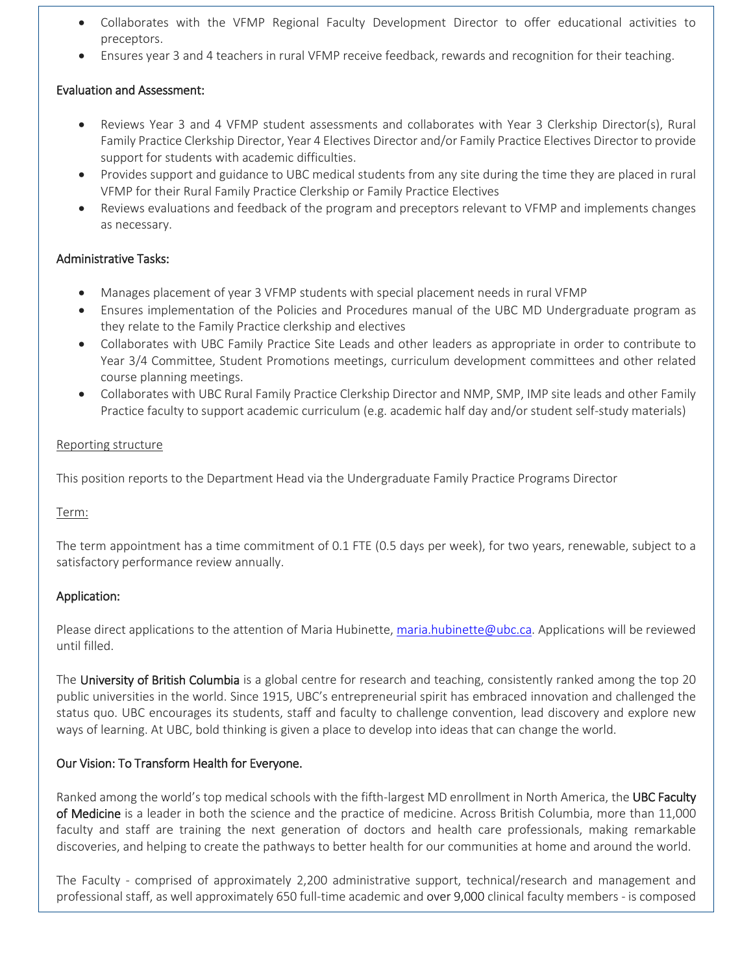- Collaborates with the VFMP Regional Faculty Development Director to offer educational activities to preceptors.
- Ensures year 3 and 4 teachers in rural VFMP receive feedback, rewards and recognition for their teaching.

# Evaluation and Assessment:

- Reviews Year 3 and 4 VFMP student assessments and collaborates with Year 3 Clerkship Director(s), Rural Family Practice Clerkship Director, Year 4 Electives Director and/or Family Practice Electives Director to provide support for students with academic difficulties.
- Provides support and guidance to UBC medical students from any site during the time they are placed in rural VFMP for their Rural Family Practice Clerkship or Family Practice Electives
- Reviews evaluations and feedback of the program and preceptors relevant to VFMP and implements changes as necessary.

## Administrative Tasks:

- Manages placement of year 3 VFMP students with special placement needs in rural VFMP
- Ensures implementation of the Policies and Procedures manual of the UBC MD Undergraduate program as they relate to the Family Practice clerkship and electives
- Collaborates with UBC Family Practice Site Leads and other leaders as appropriate in order to contribute to Year 3/4 Committee, Student Promotions meetings, curriculum development committees and other related course planning meetings.
- Collaborates with UBC Rural Family Practice Clerkship Director and NMP, SMP, IMP site leads and other Family Practice faculty to support academic curriculum (e.g. academic half day and/or student self-study materials)

### Reporting structure

This position reports to the Department Head via the Undergraduate Family Practice Programs Director

### Term:

The term appointment has a time commitment of 0.1 FTE (0.5 days per week), for two years, renewable, subject to a satisfactory performance review annually.

# Application:

Please direct applications to the attention of Maria Hubinette[, maria.hubinette@ubc.ca.](mailto:maria.hubinette@ubc.ca) Applications will be reviewed until filled.

The University of British Columbia is a global centre for research and teaching, consistently ranked among the top 20 public universities in the world. Since 1915, UBC's entrepreneurial spirit has embraced innovation and challenged the status quo. UBC encourages its students, staff and faculty to challenge convention, lead discovery and explore new ways of learning. At UBC, bold thinking is given a place to develop into ideas that can change the world.

# Our Vision: To Transform Health for Everyone.

Ranked among the world's top medical schools with the fifth-largest MD enrollment in North America, the UBC Faculty of Medicine is a leader in both the science and the practice of medicine. Across British Columbia, more than 11,000 faculty and staff are training the next generation of doctors and health care professionals, making remarkable discoveries, and helping to create the pathways to better health for our communities at home and around the world.

The Faculty - comprised of approximately 2,200 administrative support, technical/research and management and professional staff, as well approximately 650 full-time academic and over 9,000 clinical faculty members - is composed